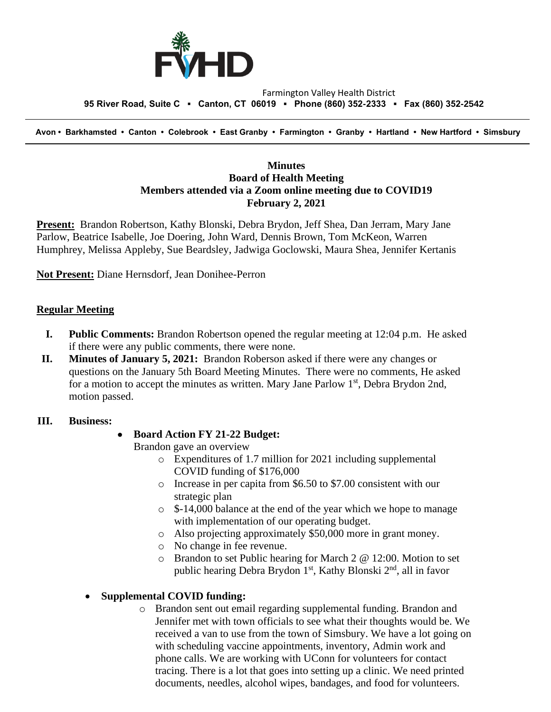

#### Farmington Valley Health District  **95 River Road, Suite C ▪ Canton, CT 06019 ▪ Phone (860) 352-2333 ▪ Fax (860) 352-2542**

 **Avon • Barkhamsted • Canton • Colebrook • East Granby • Farmington • Granby • Hartland • New Hartford • Simsbury**

### **Minutes Board of Health Meeting Members attended via a Zoom online meeting due to COVID19 February 2, 2021**

**Present:** Brandon Robertson, Kathy Blonski, Debra Brydon, Jeff Shea, Dan Jerram, Mary Jane Parlow, Beatrice Isabelle, Joe Doering, John Ward, Dennis Brown, Tom McKeon, Warren Humphrey, Melissa Appleby, Sue Beardsley, Jadwiga Goclowski, Maura Shea, Jennifer Kertanis

**Not Present:** Diane Hernsdorf, Jean Donihee-Perron

#### **Regular Meeting**

- **I. Public Comments:** Brandon Robertson opened the regular meeting at 12:04 p.m. He asked if there were any public comments, there were none.
- **II. Minutes of January 5, 2021:** Brandon Roberson asked if there were any changes or questions on the January 5th Board Meeting Minutes. There were no comments, He asked for a motion to accept the minutes as written. Mary Jane Parlow 1<sup>st</sup>, Debra Brydon 2nd, motion passed.

#### **III. Business:**

#### • **Board Action FY 21-22 Budget:**

Brandon gave an overview

- o Expenditures of 1.7 million for 2021 including supplemental COVID funding of \$176,000
- o Increase in per capita from \$6.50 to \$7.00 consistent with our strategic plan
- o \$-14,000 balance at the end of the year which we hope to manage with implementation of our operating budget.
- o Also projecting approximately \$50,000 more in grant money.
- o No change in fee revenue.
- o Brandon to set Public hearing for March 2 @ 12:00. Motion to set public hearing Debra Brydon  $1<sup>st</sup>$ , Kathy Blonski  $2<sup>nd</sup>$ , all in favor

#### • **Supplemental COVID funding:**

o Brandon sent out email regarding supplemental funding. Brandon and Jennifer met with town officials to see what their thoughts would be. We received a van to use from the town of Simsbury. We have a lot going on with scheduling vaccine appointments, inventory, Admin work and phone calls. We are working with UConn for volunteers for contact tracing. There is a lot that goes into setting up a clinic. We need printed documents, needles, alcohol wipes, bandages, and food for volunteers.